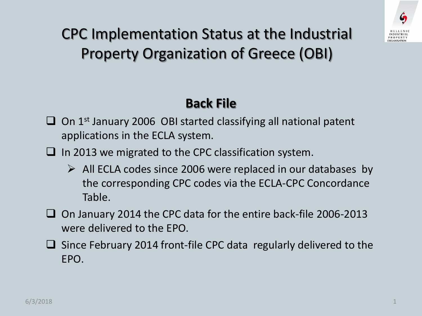

CPC Implementation Status at the Industrial Property Organization of Greece (OBI)

## **Back File**

- $\Box$  On 1<sup>st</sup> January 2006 OBI started classifying all national patent applications in the ECLA system.
- $\Box$  In 2013 we migrated to the CPC classification system.
	- $\triangleright$  All ECLA codes since 2006 were replaced in our databases by the corresponding CPC codes via the ECLA-CPC Concordance Table.
- $\Box$  On January 2014 the CPC data for the entire back-file 2006-2013 were delivered to the EPO.
- Since February 2014 front-file CPC data regularly delivered to the EPO.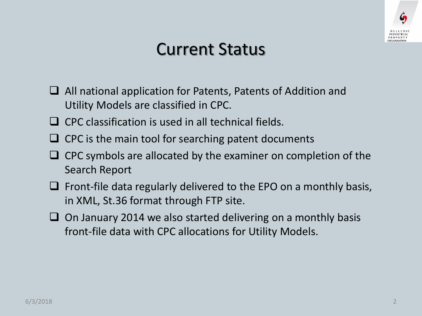

## Current Status

- All national application for Patents, Patents of Addition and Utility Models are classified in CPC.
- $\Box$  CPC classification is used in all technical fields.
- $\Box$  CPC is the main tool for searching patent documents
- $\Box$  CPC symbols are allocated by the examiner on completion of the Search Report
- $\Box$  Front-file data regularly delivered to the EPO on a monthly basis, in XML, St.36 format through FTP site.
- $\Box$  On January 2014 we also started delivering on a monthly basis front-file data with CPC allocations for Utility Models.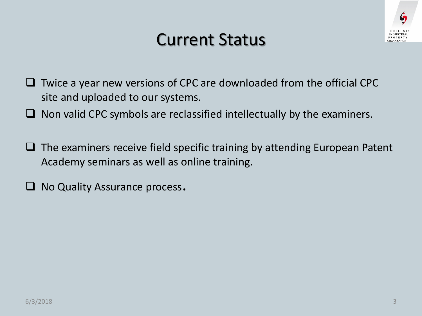

## Current Status

- $\Box$  Twice a year new versions of CPC are downloaded from the official CPC site and uploaded to our systems.
- $\Box$  Non valid CPC symbols are reclassified intellectually by the examiners.
- $\Box$  The examiners receive field specific training by attending European Patent Academy seminars as well as online training.
- $\Box$  No Quality Assurance process.